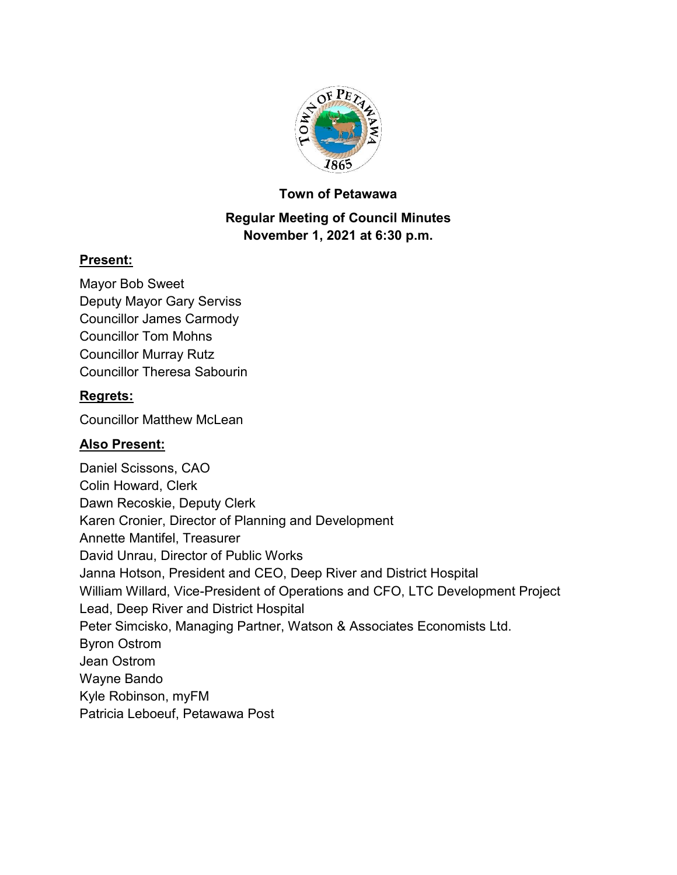

#### **Town of Petawawa**

# **Regular Meeting of Council Minutes November 1, 2021 at 6:30 p.m.**

## **Present:**

Mayor Bob Sweet Deputy Mayor Gary Serviss Councillor James Carmody Councillor Tom Mohns Councillor Murray Rutz Councillor Theresa Sabourin

# **Regrets:**

Councillor Matthew McLean

# **Also Present:**

Daniel Scissons, CAO Colin Howard, Clerk Dawn Recoskie, Deputy Clerk Karen Cronier, Director of Planning and Development Annette Mantifel, Treasurer David Unrau, Director of Public Works Janna Hotson, President and CEO, Deep River and District Hospital William Willard, Vice-President of Operations and CFO, LTC Development Project Lead, Deep River and District Hospital Peter Simcisko, Managing Partner, Watson & Associates Economists Ltd. Byron Ostrom Jean Ostrom Wayne Bando Kyle Robinson, myFM Patricia Leboeuf, Petawawa Post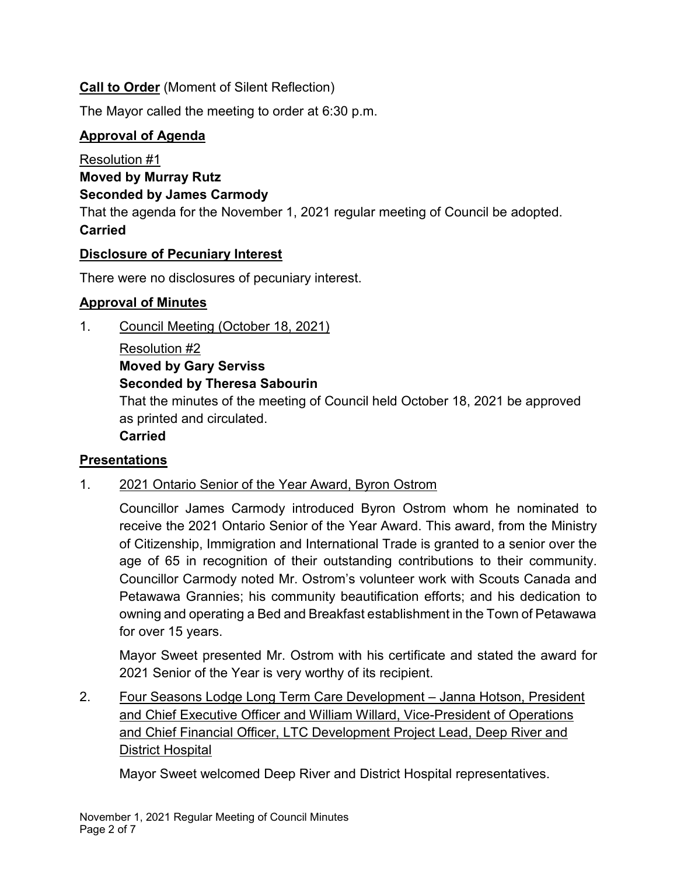# **Call to Order** (Moment of Silent Reflection)

The Mayor called the meeting to order at 6:30 p.m.

# **Approval of Agenda**

Resolution #1 **Moved by Murray Rutz Seconded by James Carmody** That the agenda for the November 1, 2021 regular meeting of Council be adopted. **Carried**

# **Disclosure of Pecuniary Interest**

There were no disclosures of pecuniary interest.

## **Approval of Minutes**

1. Council Meeting (October 18, 2021)

Resolution #2 **Moved by Gary Serviss Seconded by Theresa Sabourin**

That the minutes of the meeting of Council held October 18, 2021 be approved as printed and circulated.

**Carried**

# **Presentations**

# 1. 2021 Ontario Senior of the Year Award, Byron Ostrom

Councillor James Carmody introduced Byron Ostrom whom he nominated to receive the 2021 Ontario Senior of the Year Award. This award, from the Ministry of Citizenship, Immigration and International Trade is granted to a senior over the age of 65 in recognition of their outstanding contributions to their community. Councillor Carmody noted Mr. Ostrom's volunteer work with Scouts Canada and Petawawa Grannies; his community beautification efforts; and his dedication to owning and operating a Bed and Breakfast establishment in the Town of Petawawa for over 15 years.

Mayor Sweet presented Mr. Ostrom with his certificate and stated the award for 2021 Senior of the Year is very worthy of its recipient.

2. Four Seasons Lodge Long Term Care Development - Janna Hotson, President and Chief Executive Officer and William Willard, Vice-President of Operations and Chief Financial Officer, LTC Development Project Lead, Deep River and District Hospital

Mayor Sweet welcomed Deep River and District Hospital representatives.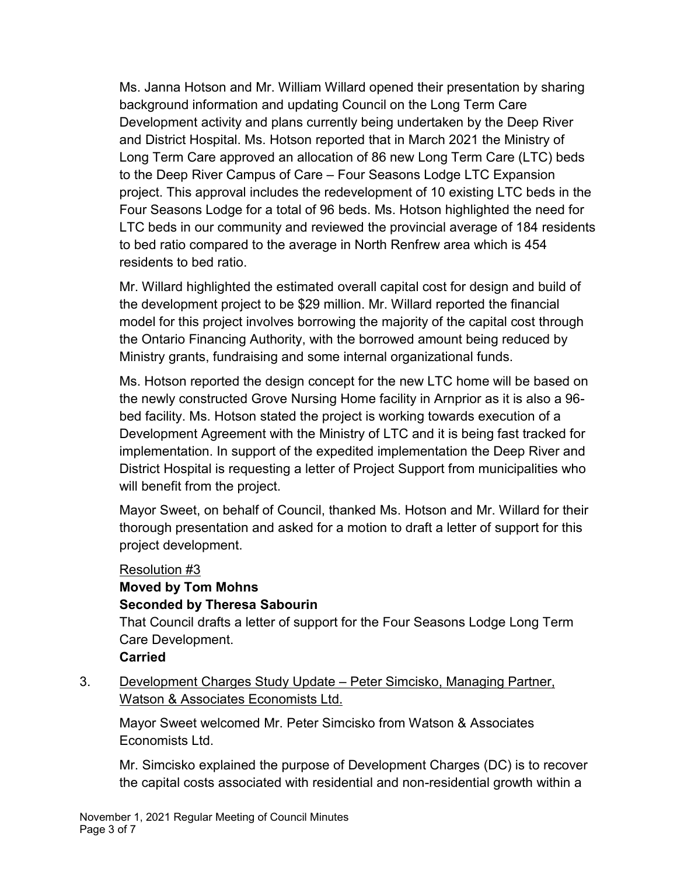Ms. Janna Hotson and Mr. William Willard opened their presentation by sharing background information and updating Council on the Long Term Care Development activity and plans currently being undertaken by the Deep River and District Hospital. Ms. Hotson reported that in March 2021 the Ministry of Long Term Care approved an allocation of 86 new Long Term Care (LTC) beds to the Deep River Campus of Care – Four Seasons Lodge LTC Expansion project. This approval includes the redevelopment of 10 existing LTC beds in the Four Seasons Lodge for a total of 96 beds. Ms. Hotson highlighted the need for LTC beds in our community and reviewed the provincial average of 184 residents to bed ratio compared to the average in North Renfrew area which is 454 residents to bed ratio.

Mr. Willard highlighted the estimated overall capital cost for design and build of the development project to be \$29 million. Mr. Willard reported the financial model for this project involves borrowing the majority of the capital cost through the Ontario Financing Authority, with the borrowed amount being reduced by Ministry grants, fundraising and some internal organizational funds.

Ms. Hotson reported the design concept for the new LTC home will be based on the newly constructed Grove Nursing Home facility in Arnprior as it is also a 96 bed facility. Ms. Hotson stated the project is working towards execution of a Development Agreement with the Ministry of LTC and it is being fast tracked for implementation. In support of the expedited implementation the Deep River and District Hospital is requesting a letter of Project Support from municipalities who will benefit from the project.

Mayor Sweet, on behalf of Council, thanked Ms. Hotson and Mr. Willard for their thorough presentation and asked for a motion to draft a letter of support for this project development.

#### Resolution #3

## **Moved by Tom Mohns Seconded by Theresa Sabourin**

That Council drafts a letter of support for the Four Seasons Lodge Long Term Care Development.

#### **Carried**

3. Development Charges Study Update – Peter Simcisko, Managing Partner, Watson & Associates Economists Ltd.

Mayor Sweet welcomed Mr. Peter Simcisko from Watson & Associates Economists Ltd.

Mr. Simcisko explained the purpose of Development Charges (DC) is to recover the capital costs associated with residential and non-residential growth within a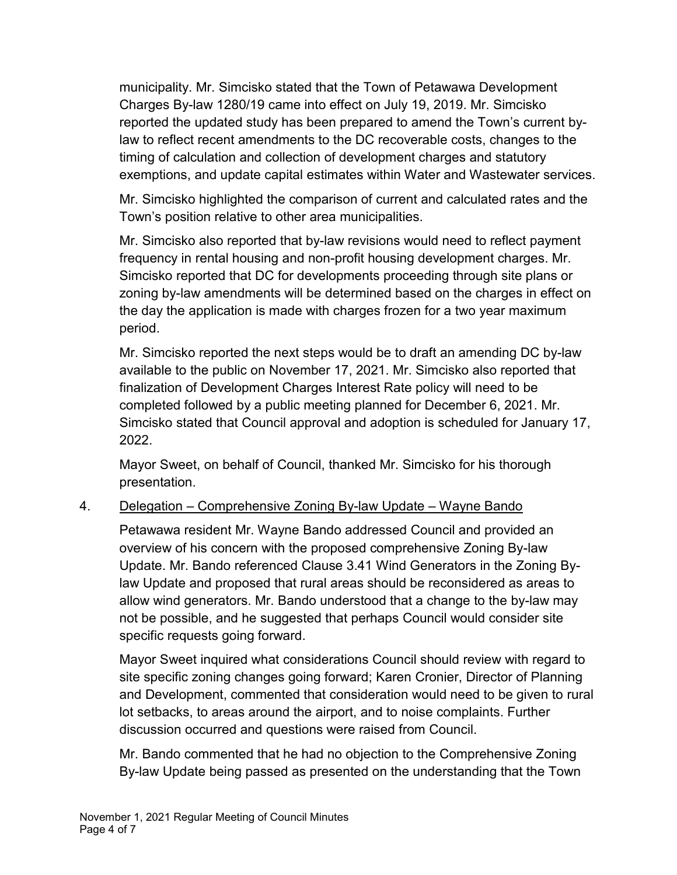municipality. Mr. Simcisko stated that the Town of Petawawa Development Charges By-law 1280/19 came into effect on July 19, 2019. Mr. Simcisko reported the updated study has been prepared to amend the Town's current bylaw to reflect recent amendments to the DC recoverable costs, changes to the timing of calculation and collection of development charges and statutory exemptions, and update capital estimates within Water and Wastewater services.

Mr. Simcisko highlighted the comparison of current and calculated rates and the Town's position relative to other area municipalities.

Mr. Simcisko also reported that by-law revisions would need to reflect payment frequency in rental housing and non-profit housing development charges. Mr. Simcisko reported that DC for developments proceeding through site plans or zoning by-law amendments will be determined based on the charges in effect on the day the application is made with charges frozen for a two year maximum period.

Mr. Simcisko reported the next steps would be to draft an amending DC by-law available to the public on November 17, 2021. Mr. Simcisko also reported that finalization of Development Charges Interest Rate policy will need to be completed followed by a public meeting planned for December 6, 2021. Mr. Simcisko stated that Council approval and adoption is scheduled for January 17, 2022.

Mayor Sweet, on behalf of Council, thanked Mr. Simcisko for his thorough presentation.

#### 4. Delegation – Comprehensive Zoning By-law Update – Wayne Bando

Petawawa resident Mr. Wayne Bando addressed Council and provided an overview of his concern with the proposed comprehensive Zoning By-law Update. Mr. Bando referenced Clause 3.41 Wind Generators in the Zoning Bylaw Update and proposed that rural areas should be reconsidered as areas to allow wind generators. Mr. Bando understood that a change to the by-law may not be possible, and he suggested that perhaps Council would consider site specific requests going forward.

Mayor Sweet inquired what considerations Council should review with regard to site specific zoning changes going forward; Karen Cronier, Director of Planning and Development, commented that consideration would need to be given to rural lot setbacks, to areas around the airport, and to noise complaints. Further discussion occurred and questions were raised from Council.

Mr. Bando commented that he had no objection to the Comprehensive Zoning By-law Update being passed as presented on the understanding that the Town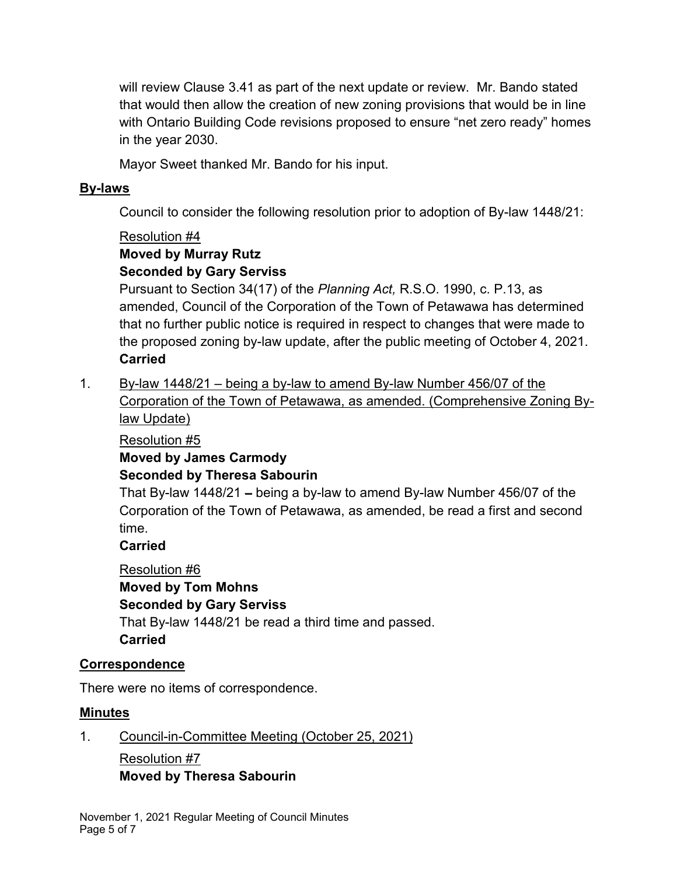will review Clause 3.41 as part of the next update or review. Mr. Bando stated that would then allow the creation of new zoning provisions that would be in line with Ontario Building Code revisions proposed to ensure "net zero ready" homes in the year 2030.

Mayor Sweet thanked Mr. Bando for his input.

#### **By-laws**

Council to consider the following resolution prior to adoption of By-law 1448/21:

#### Resolution #4

#### **Moved by Murray Rutz Seconded by Gary Serviss**

Pursuant to Section 34(17) of the *Planning Act,* R.S.O. 1990, c. P.13, as amended, Council of the Corporation of the Town of Petawawa has determined that no further public notice is required in respect to changes that were made to the proposed zoning by-law update, after the public meeting of October 4, 2021. **Carried**

1. By-law 1448/21 – being a by-law to amend By-law Number 456/07 of the Corporation of the Town of Petawawa, as amended. (Comprehensive Zoning Bylaw Update)

### Resolution #5

# **Moved by James Carmody Seconded by Theresa Sabourin**

That By-law 1448/21 – being a by-law to amend By-law Number 456/07 of the Corporation of the Town of Petawawa, as amended, be read a first and second time.

#### **Carried**

Resolution #6 **Moved by Tom Mohns Seconded by Gary Serviss** That By-law 1448/21 be read a third time and passed. **Carried**

# **Correspondence**

There were no items of correspondence.

#### **Minutes**

1. Council-in-Committee Meeting (October 25, 2021)

Resolution #7 **Moved by Theresa Sabourin**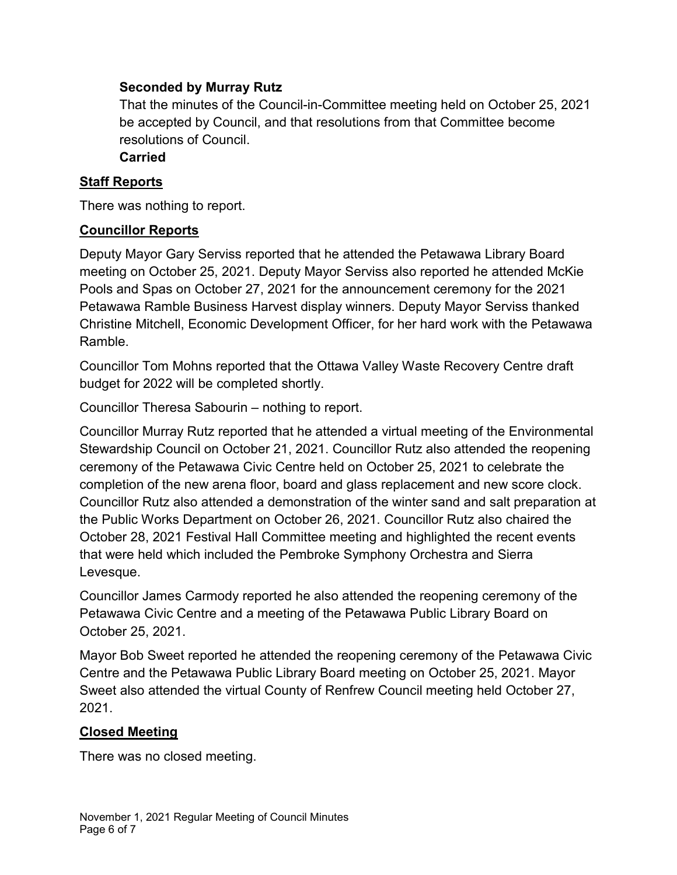#### **Seconded by Murray Rutz**

That the minutes of the Council-in-Committee meeting held on October 25, 2021 be accepted by Council, and that resolutions from that Committee become resolutions of Council.

#### **Carried**

### **Staff Reports**

There was nothing to report.

## **Councillor Reports**

Deputy Mayor Gary Serviss reported that he attended the Petawawa Library Board meeting on October 25, 2021. Deputy Mayor Serviss also reported he attended McKie Pools and Spas on October 27, 2021 for the announcement ceremony for the 2021 Petawawa Ramble Business Harvest display winners. Deputy Mayor Serviss thanked Christine Mitchell, Economic Development Officer, for her hard work with the Petawawa Ramble.

Councillor Tom Mohns reported that the Ottawa Valley Waste Recovery Centre draft budget for 2022 will be completed shortly.

Councillor Theresa Sabourin – nothing to report.

Councillor Murray Rutz reported that he attended a virtual meeting of the Environmental Stewardship Council on October 21, 2021. Councillor Rutz also attended the reopening ceremony of the Petawawa Civic Centre held on October 25, 2021 to celebrate the completion of the new arena floor, board and glass replacement and new score clock. Councillor Rutz also attended a demonstration of the winter sand and salt preparation at the Public Works Department on October 26, 2021. Councillor Rutz also chaired the October 28, 2021 Festival Hall Committee meeting and highlighted the recent events that were held which included the Pembroke Symphony Orchestra and Sierra Levesque.

Councillor James Carmody reported he also attended the reopening ceremony of the Petawawa Civic Centre and a meeting of the Petawawa Public Library Board on October 25, 2021.

Mayor Bob Sweet reported he attended the reopening ceremony of the Petawawa Civic Centre and the Petawawa Public Library Board meeting on October 25, 2021. Mayor Sweet also attended the virtual County of Renfrew Council meeting held October 27, 2021.

# **Closed Meeting**

There was no closed meeting.